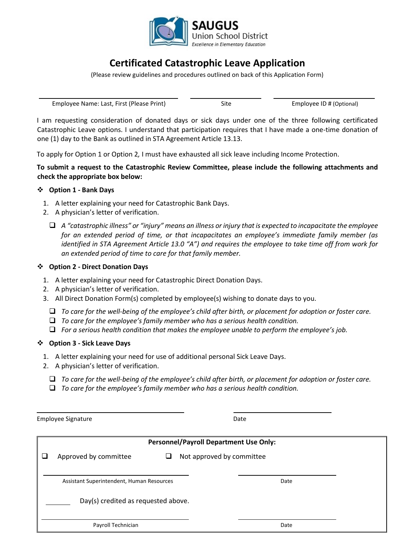

# **Certificated Catastrophic Leave Application**

(Please review guidelines and procedures outlined on back of this Application Form)

Employee Name: Last, First (Please Print) Site Site Employee ID # (Optional)

I am requesting consideration of donated days or sick days under one of the three following certificated Catastrophic Leave options. I understand that participation requires that I have made a one-time donation of one (1) day to the Bank as outlined in STA Agreement Article 13.13.

To apply for Option 1 or Option 2*,* I must have exhausted all sick leave including Income Protection.

**To submit a request to the Catastrophic Review Committee, please include the following attachments and check the appropriate box below:**

### **Option 1 - Bank Days**

- 1. A letter explaining your need for Catastrophic Bank Days.
- 2. A physician's letter of verification.
	- *A "catastrophic illness" or "injury" means an illness or injury that is expected to incapacitate the employee for an extended period of time, or that incapacitates an employee's immediate family member (as identified in STA Agreement Article 13.0 "A") and requires the employee to take time off from work for an extended period of time to care for that family member.*

## **Option 2 - Direct Donation Days**

- 1. A letter explaining your need for Catastrophic Direct Donation Days.
- 2. A physician's letter of verification.
- 3. All Direct Donation Form(s) completed by employee(s) wishing to donate days to you.
	- *To care for the well-being of the employee's child after birth, or placement for adoption or foster care.*
	- *To care for the employee's family member who has a serious health condition.*
	- *For a serious health condition that makes the employee unable to perform the employee's job.*

#### **Option 3 - Sick Leave Days**

- 1. A letter explaining your need for use of additional personal Sick Leave Days.
- 2. A physician's letter of verification.
	- *To care for the well-being of the employee's child after birth, or placement for adoption or foster care.*
	- *To care for the employee's family member who has a serious health condition.*

Employee Signature **Date** Date **Date** Date **Date** 

|                                           | <b>Personnel/Payroll Department Use Only:</b> |      |
|-------------------------------------------|-----------------------------------------------|------|
| Approved by committee                     | Not approved by committee                     |      |
|                                           |                                               |      |
| Assistant Superintendent, Human Resources |                                               | Date |
| Day(s) credited as requested above.       |                                               |      |
| Payroll Technician                        |                                               | Date |